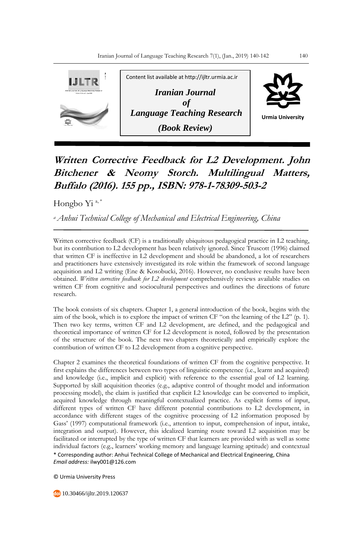

## **Written Corrective Feedback for L2 Development. John Bitchener & Neomy Storch. Multilingual Matters, Buffalo (2016). 155 pp., ISBN: 978-1-78309-503-2**

Hongbo Yi<sup>a,\*</sup>

*<sup>a</sup>Anhui Technical College of Mechanical and Electrical Engineering, China*

Written corrective feedback (CF) is a traditionally ubiquitous pedagogical practice in L2 teaching, but its contribution to L2 development has been relatively ignored. Since Truscott (1996) claimed that written CF is ineffective in L2 development and should be abandoned, a lot of researchers and practitioners have extensively investigated its role within the framework of second language acquisition and L2 writing (Ene & Kosobucki, 2016). However, no conclusive results have been obtained. *Written corrective feedback for L2 development* comprehensively reviews available studies on written CF from cognitive and sociocultural perspectives and outlines the directions of future research.

The book consists of six chapters. Chapter 1, a general introduction of the book, begins with the aim of the book, which is to explore the impact of written CF "on the learning of the L2" (p. 1). Then two key terms, written CF and L2 development, are defined, and the pedagogical and theoretical importance of written CF for L2 development is noted, followed by the presentation of the structure of the book. The next two chapters theoretically and empirically explore the contribution of written CF to L2 development from a cognitive perspective.

\* Corresponding author: Anhui Technical College of Mechanical and Electrical Engineering, China *Email address:* ilwy001@126.com Chapter 2 examines the theoretical foundations of written CF from the cognitive perspective. It first explains the differences between two types of linguistic competence (i.e., learnt and acquired) and knowledge (i.e., implicit and explicit) with reference to the essential goal of L2 learning. Supported by skill acquisition theories (e.g., adaptive control of thought model and information processing model), the claim is justified that explicit L2 knowledge can be converted to implicit, acquired knowledge through meaningful contextualized practice. As explicit forms of input, different types of written CF have different potential contributions to L2 development, in accordance with different stages of the cognitive processing of L2 information proposed by Gass' (1997) computational framework (i.e., attention to input, comprehension of input, intake, integration and output). However, this idealized learning route toward L2 acquisition may be facilitated or interrupted by the type of written CF that learners are provided with as well as some individual factors (e.g., learners' working memory and language learning aptitude) and contextual

© Urmia University Press

10.30466/ijltr.2019.120637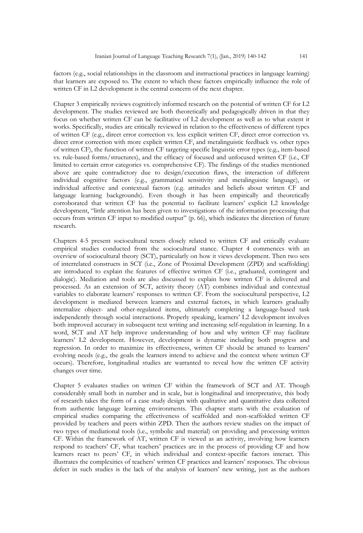factors (e.g., social relationships in the classroom and instructional practices in language learning) that learners are exposed to. The extent to which these factors empirically influence the role of written CF in L2 development is the central concern of the next chapter.

Chapter 3 empirically reviews cognitively informed research on the potential of written CF for L2 development. The studies reviewed are both theoretically and pedagogically driven in that they focus on whether written CF can be facilitative of L2 development as well as to what extent it works. Specifically, studies are critically reviewed in relation to the effectiveness of different types of written CF (e.g., direct error correction vs. less explicit written CF, direct error correction vs. direct error correction with more explicit written CF, and metalinguistic feedback vs. other types of written CF), the function of written CF targeting specific linguistic error types (e.g., item-based vs. rule-based forms/structures), and the efficacy of focused and unfocused written CF (i.e., CF limited to certain error categories vs. comprehensive CF). The findings of the studies mentioned above are quite contradictory due to design/execution flaws, the interaction of different individual cognitive factors (e.g., grammatical sensitivity and metalinguistic language), or individual affective and contextual factors (e.g. attitudes and beliefs about written CF and language learning backgrounds). Even though it has been empirically and theoretically corroborated that written CF has the potential to facilitate learners' explicit L2 knowledge development, "little attention has been given to investigations of the information processing that occurs from written CF input to modified output" (p. 66), which indicates the direction of future research.

Chapters 4-5 present sociocultural tenets closely related to written CF and critically evaluate empirical studies conducted from the sociocultural stance. Chapter 4 commences with an overview of sociocultural theory (SCT), particularly on how it views development. Then two sets of interrelated constructs in SCT (i.e., Zone of Proximal Development (ZPD) and scaffolding) are introduced to explain the features of effective written CF (i.e., graduated, contingent and dialogic). Mediation and tools are also discussed to explain how written CF is delivered and processed. As an extension of SCT, activity theory (AT) combines individual and contextual variables to elaborate learners' responses to written CF. From the sociocultural perspective, L2 development is mediated between learners and external factors, in which learners gradually internalize object- and other-regulated items, ultimately completing a language-based task independently through social interactions. Properly speaking, learners' L2 development involves both improved accuracy in subsequent text writing and increasing self-regulation in learning. In a word, SCT and AT help improve understanding of how and why written CF may facilitate learners' L2 development. However, development is dynamic including both progress and regression. In order to maximize its effectiveness, written CF should be attuned to learners' evolving needs (e.g., the goals the learners intend to achieve and the context where written CF occurs). Therefore, longitudinal studies are warranted to reveal how the written CF activity changes over time.

Chapter 5 evaluates studies on written CF within the framework of SCT and AT. Though considerably small both in number and in scale, but is longitudinal and interpretative, this body of research takes the form of a case study design with qualitative and quantitative data collected from authentic language learning environments. This chapter starts with the evaluation of empirical studies comparing the effectiveness of scaffolded and non-scaffolded written CF provided by teachers and peers within ZPD. Then the authors review studies on the impact of two types of mediational tools (i.e., symbolic and material) on providing and processing written CF. Within the framework of AT, written CF is viewed as an activity, involving how learners respond to teachers' CF, what teachers' practices are in the process of providing CF and how learners react to peers' CF, in which individual and context-specific factors interact. This illustrates the complexities of teachers' written CF practices and learners' responses. The obvious defect in such studies is the lack of the analysis of learners' new writing, just as the authors